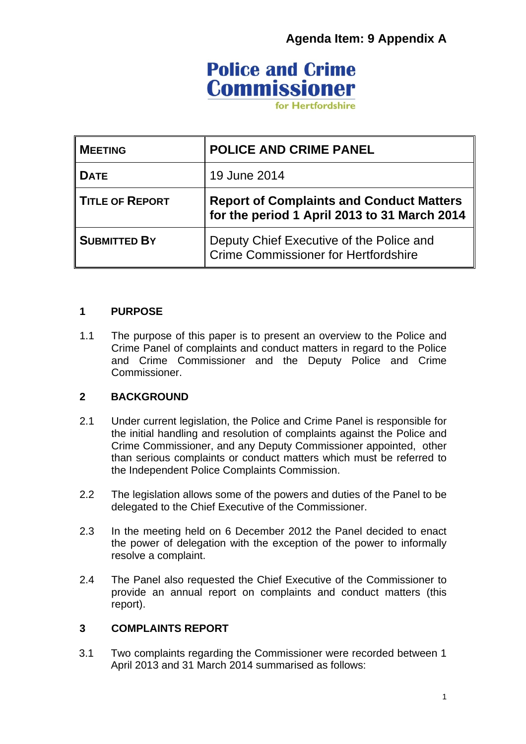## **Agenda Item: 9 Appendix A**

# **Police and Crime Commissioner**

for Hertfordshire

| <b>MEETING</b>         | <b>POLICE AND CRIME PANEL</b>                                                                   |
|------------------------|-------------------------------------------------------------------------------------------------|
| <b>DATE</b>            | 19 June 2014                                                                                    |
| <b>TITLE OF REPORT</b> | <b>Report of Complaints and Conduct Matters</b><br>for the period 1 April 2013 to 31 March 2014 |
| <b>SUBMITTED BY</b>    | Deputy Chief Executive of the Police and<br>Crime Commissioner for Hertfordshire                |

#### **1 PURPOSE**

1.1 The purpose of this paper is to present an overview to the Police and Crime Panel of complaints and conduct matters in regard to the Police and Crime Commissioner and the Deputy Police and Crime Commissioner.

### **2 BACKGROUND**

- 2.1 Under current legislation, the Police and Crime Panel is responsible for the initial handling and resolution of complaints against the Police and Crime Commissioner, and any Deputy Commissioner appointed, other than serious complaints or conduct matters which must be referred to the Independent Police Complaints Commission.
- 2.2 The legislation allows some of the powers and duties of the Panel to be delegated to the Chief Executive of the Commissioner.
- 2.3 In the meeting held on 6 December 2012 the Panel decided to enact the power of delegation with the exception of the power to informally resolve a complaint.
- 2.4 The Panel also requested the Chief Executive of the Commissioner to provide an annual report on complaints and conduct matters (this report).

#### **3 COMPLAINTS REPORT**

3.1 Two complaints regarding the Commissioner were recorded between 1 April 2013 and 31 March 2014 summarised as follows: